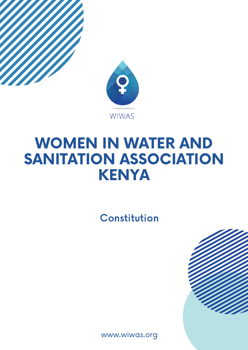



# WOMEN IN WATER AND SANITATION ASSOCIATION KENYA

Constitution



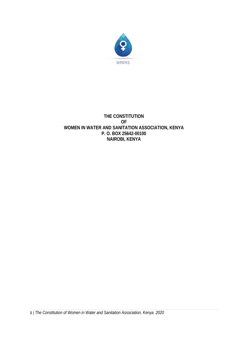

#### **THE CONSTITUTION OF WOMEN IN WATER AND SANITATION ASSOCIATION, KENYA P. O. BOX 25642-00100 NAIROBI, KENYA**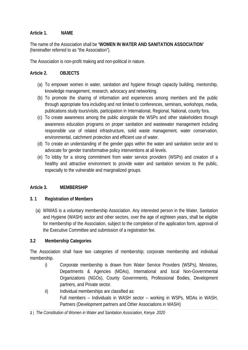# **Article 1. NAME**

The name of the Association shall be **'WOMEN IN WATER AND SANITATION ASSOCIATION'** (hereinafter referred to as "the Association").

The Association is non-profit making and non-political in nature.

# **Article 2. OBJECTS**

- (a) To empower women in water, sanitation and hygiene through capacity building, mentorship, knowledge management, research, advocacy and networking.
- (b) To promote the sharing of information and experiences among members and the public through appropriate fora including and not limited to conferences, seminars, workshops, media, publications study tours/visits, participation in International, Regional, National, county fora.
- (c) To create awareness among the public alongside the WSPs and other stakeholders through awareness education programs on proper sanitation and wastewater management including responsible use of related infrastructure, solid waste management, water conservation, environmental, catchment protection and efficient use of water.
- (d) To create an understanding of the gender gaps within the water and sanitation sector and to advocate for gender transformative policy interventions at all levels.
- (e) To lobby for a strong commitment from water service providers (WSPs) and creation of a healthy and attractive environment to provide water and sanitation services to the public, especially to the vulnerable and marginalized groups.

# **Article 3. MEMBERSHIP**

# **3. 1 Registration of Members**

(a) WIWAS is a voluntary membership Association. Any interested person in the Water, Sanitation and Hygiene (WASH) sector and other sectors, over the age of eighteen years, shall be eligible for membership of the Association, subject to the completion of the application form, approval of the Executive Committee and submission of a registration fee.

# **3.2 Membership Categories**

The Association shall have two categories of membership; corporate membership and individual membership.

- i) Corporate membership is drawn from Water Service Providers (WSPs), Ministries, Departments & Agencies (MDAs), International and local Non-Governmental Organizations (NGOs), County Governments, Professional Bodies, Development partners, and Private sector.
- ii) Individual memberships are classified as: Full members – Individuals in WASH sector – working in WSPs, MDAs in WASH, Partners (Development partners and Other Associations in WASH)

**<sup>2</sup> |** *The Constitution of Women in Water and Sanitation Association, Kenya 2020*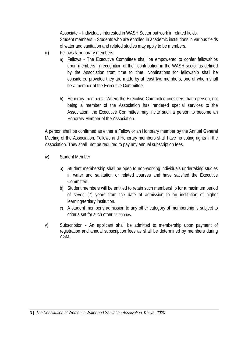Associate – Individuals interested in WASH Sector but work in related fields. Student members – Students who are enrolled in academic institutions in various fields of water and sanitation and related studies may apply to be members.

- iii) Fellows & honorary members
	- a) Fellows The Executive Committee shall be empowered to confer fellowships upon members in recognition of their contribution in the WASH sector as defined by the Association from time to time. Nominations for fellowship shall be considered provided they are made by at least two members, one of whom shall be a member of the Executive Committee.
	- b) Honorary members Where the Executive Committee considers that a person, not being a member of the Association has rendered special services to the Association, the Executive Committee may invite such a person to become an Honorary Member of the Association.

A person shall be confirmed as either a Fellow or an Honorary member by the Annual General Meeting of the Association. Fellows and Honorary members shall have no voting rights in the Association. They shall not be required to pay any annual subscription fees.

- iv) Student Member
	- a) Student membership shall be open to non-working individuals undertaking studies in water and sanitation or related courses and have satisfied the Executive Committee.
	- b) Student members will be entitled to retain such membership for a maximum period of seven (7) years from the date of admission to an institution of higher learning/tertiary institution.
	- c) A student member's admission to any other category of membership is subject to criteria set for such other categories.
- v) Subscription An applicant shall be admitted to membership upon payment of registration and annual subscription fees as shall be determined by members during AGM.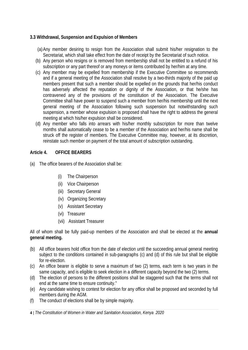# **3.3 Withdrawal, Suspension and Expulsion of Members**

- (a)Any member desiring to resign from the Association shall submit his/her resignation to the Secretariat, which shall take effect from the date of receipt by the Secretariat of such notice.
- (b) Any person who resigns or is removed from membership shall not be entitled to a refund of his subscription or any part thereof or any moneys or items contributed by her/him at any time.
- (c) Any member may be expelled from membership if the Executive Committee so recommends and if a general meeting of the Association shall resolve by a two-thirds majority of the paid up members present that such a member should be expelled on the grounds that her/his conduct has adversely affected the reputation or dignity of the Association, or that he/she has contravened any of the provisions of the constitution of the Association. The Executive Committee shall have power to suspend such a member from her/his membership until the next general meeting of the Association following such suspension but notwithstanding such suspension, a member whose expulsion is proposed shall have the right to address the general meeting at which his/her expulsion shall be considered.
- (d) Any member who falls into arrears with his/her monthly subscription for more than twelve months shall automatically cease to be a member of the Association and her/his name shall be struck off the register of members. The Executive Committee may, however, at its discretion, reinstate such member on payment of the total amount of subscription outstanding.

#### **Article 4. OFFICE BEARERS**

- (a) The office bearers of the Association shall be:
	- (i) The Chairperson
	- (ii) Vice Chairperson
	- (iii) Secretary General
	- (iv) Organizing Secretary
	- (v) Assistant Secretary
	- (vi) Treasurer
	- (vii) Assistant Treasurer

All of whom shall be fully paid-up members of the Association and shall be elected at the **annual general meeting.**

- (b) All office bearers hold office from the date of election until the succeeding annual general meeting subject to the conditions contained in sub-paragraphs (c) and (d) of this rule but shall be eligible for re-election.
- (c) An office bearer is eligible to serve a maximum of two (2) terms, each term is two years in the same capacity, and is eligible to seek election in a different capacity beyond the two (2) terms.
- (d) The election of persons to the different positions shall be staggered such that the terms shall not end at the same time to ensure continuity."
- (e) Any candidate wishing to contest for election for any office shall be proposed and seconded by full members during the AGM.
- (f) The conduct of elections shall be by simple majority.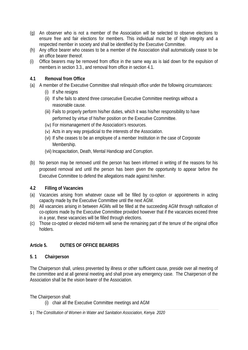- (g) An observer who is not a member of the Association will be selected to observe elections to ensure free and fair elections for members. This individual must be of high integrity and a respected member in society and shall be identified by the Executive Committee.
- (h) Any office bearer who ceases to be a member of the Association shall automatically cease to be an office bearer thereof.
- (i) Office bearers may be removed from office in the same way as is laid down for the expulsion of members in section 3.3., and removal from office in section 4.1.

# **4.1 Removal from Office**

- (a) A member of the Executive Committee shall relinquish office under the following circumstances:
	- (i) If s/he resigns
	- (ii) If s/he fails to attend three consecutive Executive Committee meetings without a reasonable cause.
	- (iii) Fails to properly perform his/her duties, which it was his/her responsibility to have performed by virtue of his/her position on the Executive Ccommittee.
	- (iv) For mismanagement of the Association's resources.
	- (v) Acts in any way prejudicial to the interests of the Association.
	- (vi) If s/he ceases to be an employee of a member Institution in the case of Corporate Membership.
	- (vii) Incapacitation, Death, Mental Handicap and Corruption.
- (b) No person may be removed until the person has been informed in writing of the reasons for his proposed removal and until the person has been given the opportunity to appear before the Executive Committee to defend the allegations made against him/her.

# **4.2 Filling of Vacancies**

- (a) Vacancies arising from whatever cause will be filled by co-option or appointments in acting capacity made by the Executive Committee until the next AGM.
- (b) All vacancies arising in between AGMs will be filled at the succeeding AGM through ratification of co-options made by the Executive Committee provided however that if the vacancies exceed three in a year, these vacancies will be filled through elections.
- (c) Those co-opted or elected mid-term will serve the remaining part of the tenure of the original office holders.

# **Article 5. DUTIES OF OFFICE BEARERS**

# **5. 1 Chairperson**

The Chairperson shall, unless prevented by illness or other sufficient cause, preside over all meeting of the committee and at all general meeting and shall prove any emergency case. The Chairperson of the Association shall be the vision bearer of the Association.

The Chairperson shall:

(i) chair all the Executive Committee meetings and AGM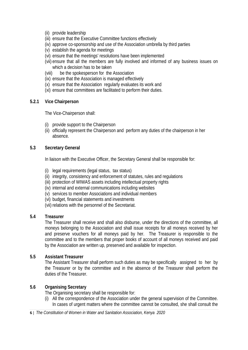- (ii) provide leadership
- (iii) ensure that the Executive Committee functions effectively
- (iv) approve co-sponsorship and use of the Association umbrella by third parties
- (v) establish the agenda for meetings
- (vi) ensure that the meetings' resolutions have been implemented
- (vii) ensure that all the members are fully involved and informed of any business issues on which a decision has to be taken
- (viii) be the spokesperson for the Association
- (ix) ensure that the Association is managed effectively
- (x) ensure that the Association regularly evaluates its work and
- (xi) ensure that committees are facilitated to perform their duties.

#### **5.2.1 Vice Chairperson**

The Vice-Chairperson shall:

- (i) provide support to the Chairperson
- (ii) officially represent the Chairperson and perform any duties of the chairperson in her absence.

#### **5.3 Secretary General**

In liaison with the Executive Officer, the Secretary General shall be responsible for:

- (i) legal requirements (legal status, tax status)
- (ii) integrity, consistency and enforcement of statutes, rules and regulations
- (iii) protection of WIWAS assets including intellectual property rights
- (iv) internal and external communications including websites
- (v) services to member Associations and individual members
- (vi) budget, financial statements and investments
- (vii) relations with the personnel of the Secretariat.

#### **5.4 Treasurer**

The Treasurer shall receive and shall also disburse, under the directions of the committee, all moneys belonging to the Association and shall issue receipts for all moneys received by her and preserve vouchers for all moneys paid by her. The Treasurer is responsible to the committee and to the members that proper books of account of all moneys received and paid by the Association are written up, preserved and available for inspection.

#### **5.5 Assistant Treasurer**

The Assistant Treasurer shall perform such duties as may be specifically assigned to her by the Treasurer or by the committee and in the absence of the Treasurer shall perform the duties of the Treasurer.

#### **5.6 Organising Secretary**

The Organising secretary shall be responsible for:

- (i) All the correspondence of the Association under the general supervision of the Committee. In cases of urgent matters where the committee cannot be consulted, she shall consult the
- **6 |** *The Constitution of Women in Water and Sanitation Association, Kenya 2020*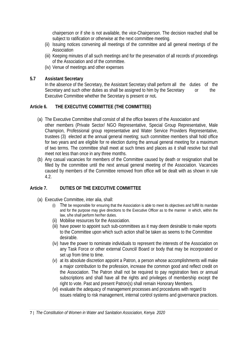chairperson or if she is not available, the vice-Chairperson. The decision reached shall be subject to ratification or otherwise at the next committee meeting.

- (ii) Issuing notices convening all meetings of the committee and all general meetings of the Association
- (iii) Keeping minutes of all such meetings and for the preservation of all records of proceedings of the Association and of the committee.
- (iv) Venue of meetings and other expenses

#### **5.7 Assistant Secretary**

In the absence of the Secretary, the Assistant Secretary shall perform all the duties of the Secretary and such other duties as shall be assigned to him by the Secretary or the Executive Committee whether the Secretary is present or not**.**

#### **Article 6. THE EXECUTIVE COMMITTEE (THE COMMITTEE)**

- (a) The Executive Committee shall consist of all the office bearers of the Association and other members (Private Sector/ NGO Representative, Special Group Representative, Male Champion, Professional group representative and Water Service Providers Representative, trustees (3) elected at the annual general meeting; such committee members shall hold office for two years and are eligible for re election during the annual general meeting for a maximum of two terms. The committee shall meet at such times and places as it shall resolve but shall meet not less than once in any three months.
- (b) Any casual vacancies for members of the Committee caused by death or resignation shall be filled by the committee until the next annual general meeting of the Association. Vacancies caused by members of the Committee removed from office will be dealt with as shown in rule 4.2.

# **Article 7. DUTIES OF THE EXECUTIVE COMMITTEE**

- (a) Executive Committee, inter alia, shall:
	- (i) The be responsible for ensuring that the Association is able to meet its objectives and fulfill its mandate and for the purpose may give directions to the Executive Officer as to the manner in which, within the law, s/he shall perform her/her duties.
	- (ii) Mobilise resources for the Association.
	- (iii) have power to appoint such sub-committees as it may deem desirable to make reports to the Committee upon which such action shall be taken as seems to the Committee desirable.
	- (iv) have the power to nominate individuals to represent the interests of the Association on any Task Force or other external Council/ Board or body that may be incorporated or set up from time to time.
	- (v) at its absolute discretion appoint a Patron, a person whose accomplishments will make a major contribution to the profession, increase the common good and reflect credit on the Association. The Patron shall not be required to pay registration fees or annual subscriptions and shall have all the rights and privileges of membership except the right to vote. Past and present Patron(s) shall remain Honorary Members.
	- (vi) evaluate the adequacy of management processes and procedures with regard to issues relating to risk management, internal control systems and governance practices.

**7 |** *The Constitution of Women in Water and Sanitation Association, Kenya 2020*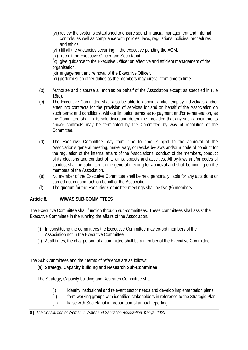- (vii) review the systems established to ensure sound financial management and Internal controls, as well as compliance with policies, laws, regulations, policies, procedures and ethics.
- (viii) fill all the vacancies occurring in the executive pending the AGM.
- (ix) recruit the Executive Officer and Secretariat.

(x) give guidance to the Executive Officer on effective and efficient management of the organization.

- (xi) engagement and removal of the Executive Officer.
- (xii) perform such other duties as the members may direct from time to time.
- (b) Authorize and disburse all monies on behalf of the Association except as specified in rule 15(d).
- (c) The Executive Committee shall also be able to appoint and/or employ individuals and/or enter into contracts for the provision of services for and on behalf of the Association on such terms and conditions, without limitation terms as to payment and/or remuneration, as the Committee shall in its sole discretion determine, provided that any such appointments and/or contracts may be terminated by the Committee by way of resolution of the Committee.
- (d) The Executive Committee may from time to time, subject to the approval of the Association's general meeting, make, vary, or revoke by-laws and/or a code of conduct for the regulation of the internal affairs of the Associations, conduct of the members, conduct of its elections and conduct of its aims, objects and activities. All by-laws and/or codes of conduct shall be submitted to the general meeting for approval and shall be binding on the members of the Association.
- (e) No member of the Executive Committee shall be held personally liable for any acts done or carried out in good faith on behalf of the Association.
- (f) The quorum for the Executive Committee meetings shall be five (5) members.

#### **Article 8. WIWAS SUB-COMMITTEES**

The Executive Committee shall function through sub-committees. These committees shall assist the Executive Committee in the running the affairs of the Association.

- (i) In constituting the committees the Executive Committee may co-opt members of the Association not in the Executive Committee.
- (ii) At all times, the chairperson of a committee shall be a member of the Executive Committee.

The Sub-Committees and their terms of reference are as follows:

# **(a) Strategy, Capacity building and Research Sub-Committee**

The Strategy, Capacity building and Research Committee shall:

- (i) identify institutional and relevant sector needs and develop implementation plans.
- (ii) form working groups with identified stakeholders in reference to the Strategic Plan.
- (iii) liaise with Secretariat in preparation of annual reporting.

**<sup>8</sup> |** *The Constitution of Women in Water and Sanitation Association, Kenya 2020*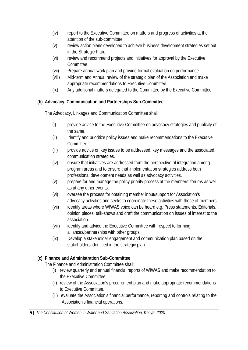- (iv) report to the Executive Committee on matters and progress of activities at the attention of the sub-committee.
- (v) review action plans developed to achieve business development strategies set out in the Strategic Plan.
- (vi) review and recommend projects and initiatives for approval by the Executive Committee.
- (vii) Prepare annual work plan and provide formal evaluation on performance.
- (viii) Mid-term and Annual review of the strategic plan of the Association and make appropriate recommendations to Executive Committee.
- (ix) Any additional matters delegated to the Committee by the Executive Committee.

# **(b) Advocacy, Communication and Partnerships Sub-Committee**

The Advocacy, Linkages and Communication Committee shall:

- (i) provide advice to the Executive Committee on advocacy strategies and publicity of the same.
- (ii) Identify and prioritize policy issues and make recommendations to the Executive Committee.
- (iii) provide advice on key issues to be addressed, key messages and the associated communication strategies.
- (iv) ensure that initiatives are addressed from the perspective of integration among program areas and to ensure that implementation strategies address both professional development needs as well as advocacy activities.
- (v) prepare for and manage the policy priority process at the members' forums as well as at any other events.
- (vi) oversee the process for obtaining member input/support for Association's advocacy activities and seeks to coordinate these activities with those of members.
- (vii) identify areas where WIWAS voice can be heard e.g. Press statements, Editorials, opinion pieces, talk-shows and draft the communication on issues of interest to the association.
- (viii) identify and advice the Executive Committee with respect to forming alliances/partnerships with other groups.
- (ix) Develop a stakeholder engagement and communication plan based on the stakeholders identified in the strategic plan.

# **(c) Finance and Administration Sub-Committee**

The Finance and Administration Committee shall:

- (i) review quarterly and annual financial reports of WIWAS and make recommendation to the Executive Committee.
- (ii) review of the Association's procurement plan and make appropriate recommendations to Executive Committee.
- (iii) evaluate the Association's financial performance, reporting and controls relating to the Association's financial operations.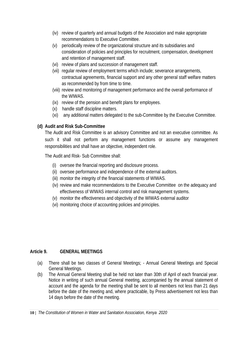- (iv) review of quarterly and annual budgets of the Association and make appropriate recommendations to Executive Committee.
- (v) periodically review of the organizational structure and its subsidiaries and consideration of policies and principles for recruitment, compensation, development and retention of management staff.
- (vi) review of plans and succession of management staff.
- (vii) regular review of employment terms which include; severance arrangements, contractual agreements, financial support and any other general staff welfare matters as recommended by from time to time.
- (viii) review and monitoring of management performance and the overall performance of the WIWAS.
- (ix) review of the pension and benefit plans for employees.
- (x) handle staff discipline matters.
- (xi) any additional matters delegated to the sub-Committee by the Executive Committee.

# **(d) Audit and Risk Sub-Committee**

The Audit and Risk Committee is an advisory Committee and not an executive committee. As such it shall not perform any management functions or assume any management responsibilities and shall have an objective, independent role.

The Audit and Risk- Sub Committee shall:

- (i) oversee the financial reporting and disclosure process.
- (ii) oversee performance and independence of the external auditors.
- (iii) monitor the integrity of the financial statements of WIWAS.
- (iv) review and make recommendations to the Executive Committee on the adequacy and effectiveness of WIWAS internal control and risk management systems.
- (v) monitor the effectiveness and objectivity of the WIWAS external auditor
- (vi) monitoring choice of accounting policies and principles.

# **Article 9. GENERAL MEETINGS**

- (a) There shall be two classes of General Meetings; Annual General Meetings and Special General Meetings.
- (b) The Annual General Meeting shall be held not later than 30th of April of each financial year. Notice in writing of such annual General meeting, accompanied by the annual statement of account and the agenda for the meeting shall be sent to all members not less than 21 days before the date of the meeting and, where practicable, by Press advertisement not less than 14 days before the date of the meeting.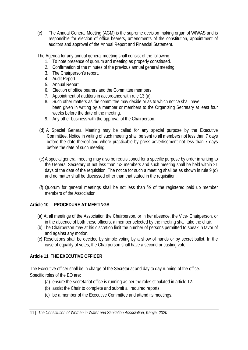(c) The Annual General Meeting (AGM) is the supreme decision making organ of WIWAS and is responsible for election of office bearers, amendments of the constitution, appointment of auditors and approval of the Annual Report and Financial Statement.

The Agenda for any annual general meeting shall consist of the following:

- 1. To note presence of quorum and meeting as properly constituted.
- 2. Confirmation of the minutes of the previous annual general meeting.
- 3. The Chairperson's report.
- 4. Audit Report.
- 5. Annual Report.
- 6. Election of office bearers and the Committee members.
- 7. Appointment of auditors in accordance with rule 13 (a).
- 8. Such other matters as the committee may decide or as to which notice shall have been given in writing by a member or members to the Organizing Secretary at least four weeks before the date of the meeting.
- 9. Any other business with the approval of the Chairperson.
- (d) A Special General Meeting may be called for any special purpose by the Executive Committee. Notice in writing of such meeting shall be sent to all members not less than 7 days before the date thereof and where practicable by press advertisement not less than 7 days before the date of such meeting.
- (e)A special general meeting may also be requisitioned for a specific purpose by order in writing to the General Secretary of not less than 1/3 members and such meeting shall be held within 21 days of the date of the requisition. The notice for such a meeting shall be as shown in rule 9 (d) and no matter shall be discussed other than that stated in the requisition.
- (f) Quorum for general meetings shall be not less than ⅔ of the registered paid up member members of the Association.

# **Article 10**. **PROCEDURE AT MEETINGS**

- (a) At all meetings of the Association the Chairperson, or in her absence, the Vice- Chairperson, or in the absence of both these officers, a member selected by the meeting shall take the chair.
- (b) The Chairperson may at his discretion limit the number of persons permitted to speak in favor of and against any motion.
- (c) Resolutions shall be decided by simple voting by a show of hands or by secret ballot. In the case of equality of votes, the Chairperson shall have a second or casting vote.

# **Article 11. THE EXECUTIVE OFFICER**

The Executive officer shall be in charge of the Secretariat and day to day running of the office. Specific roles of the EO are:

- (a) ensure the secretariat office is running as per the roles stipulated in article 12.
- (b) assist the Chair to complete and submit all required reports.
- (c) be a member of the Executive Committee and attend its meetings.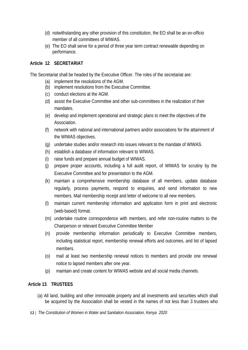- (d) notwithstanding any other provision of this constitution, the EO shall be an *ex-officio*  member of all committees of WIWAS.
- (e) The EO shall serve for a period of three year term contract renewable depending on performance.

# **Article 12**. **SECRETARIAT**

The Secretariat shall be headed by the Executive Officer. The roles of the secretariat are:

- (a) implement the resolutions of the AGM.
- (b) implement resolutions from the Executive Committee.
- (c) conduct elections at the AGM.
- (d) assist the Executive Committee and other sub-committees in the realization of their mandates.
- (e) develop and implement operational and strategic plans to meet the objectives of the Association.
- (f) network with national and international partners and/or associations for the attainment of the WIWAS objectives.
- (g) undertake studies and/or research into issues relevant to the mandate of WIWAS.
- (h) establish a database of information relevant to WIWAS.
- (i) raise funds and prepare annual budget of WIWAS.
- (j) prepare proper accounts, including a full audit report, of WIWAS for scrutiny by the Executive Committee and for presentation to the AGM.
- (k) maintain a comprehensive membership database of all members, update database regularly, process payments, respond to enquiries, and send information to new members. Mail membership receipt and letter of welcome to all new members.
- (l) maintain current membership information and application form in print and electronic (web-based) format.
- (m) undertake routine correspondence with members, and refer non-routine matters to the Chairperson or relevant Executive Committee Member
- (n) provide membership information periodically to Executive Committee members, including statistical report, membership renewal efforts and outcomes, and list of lapsed members.
- (o) mail at least two membership renewal notices to members and provide one renewal notice to lapsed members after one year.
- (p) maintain and create content for WIWAS website and all social media channels.

# **Article 13**. **TRUSTEES**

(a) All land, building and other immovable property and all investments and securities which shall be acquired by the Association shall be vested in the names of not less than 3 trustees who

**12 |** *The Constitution of Women in Water and Sanitation Association, Kenya 2020*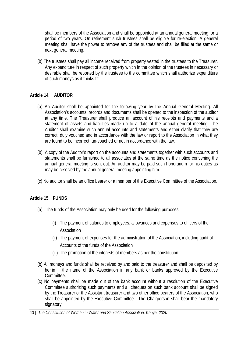shall be members of the Association and shall be appointed at an annual general meeting for a period of two years. On retirement such trustees shall be eligible for re-election. A general meeting shall have the power to remove any of the trustees and shall be filled at the same or next general meeting.

(b) The trustees shall pay all income received from property vested in the trustees to the Treasurer. Any expenditure in respect of such property which in the opinion of the trustees in necessary or desirable shall be reported by the trustees to the committee which shall authorize expenditure of such moneys as it thinks fit.

#### **Article 14. AUDITOR**

- (a) An Auditor shall be appointed for the following year by the Annual General Meeting. All Association's accounts, records and documents shall be opened to the inspection of the auditor at any time. The Treasurer shall produce an account of his receipts and payments and a statement of assets and liabilities made up to a date of the annual general meeting. The Auditor shall examine such annual accounts and statements and either clarify that they are correct, duly vouched and in accordance with the law or report to the Association in what they are found to be incorrect, un-vouched or not in accordance with the law.
- (b) A copy of the Auditor's report on the accounts and statements together with such accounts and statements shall be furnished to all associates at the same time as the notice convening the annual general meeting is sent out. An auditor may be paid such honorarium for his duties as may be resolved by the annual general meeting appointing him.
- (c) No auditor shall be an office bearer or a member of the Executive Committee of the Association.

#### **Article 15**. **FUNDS**

- (a) The funds of the Association may only be used for the following purposes:
	- (i) The payment of salaries to employees, allowances and expenses to officers of the **Association**
	- (ii) The payment of expenses for the administration of the Association, including audit of Accounts of the funds of the Association
	- (iii) The promotion of the interests of members as per the constitution
- (b) All moneys and funds shall be received by and paid to the treasurer and shall be deposited by her in the name of the Association in any bank or banks approved by the Executive Committee.
- (c) No payments shall be made out of the bank account without a resolution of the Executive Committee authorizing such payments and all cheques on such bank account shall be signed by the Treasurer or the Assistant treasurer and two other office bearers of the Association, who shall be appointed by the Executive Committee. The Chairperson shall bear the mandatory signatory.
- **13 |** *The Constitution of Women in Water and Sanitation Association, Kenya 2020*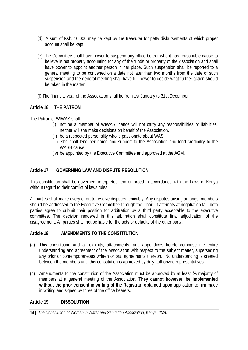- (d) A sum of Ksh. 10,000 may be kept by the treasurer for petty disbursements of which proper account shall be kept.
- (e) The Committee shall have power to suspend any office bearer who it has reasonable cause to believe is not properly accounting for any of the funds or property of the Association and shall have power to appoint another person in her place. Such suspension shall be reported to a general meeting to be convened on a date not later than two months from the date of such suspension and the general meeting shall have full power to decide what further action should be taken in the matter.
- (f) The financial year of the Association shall be from 1st January to 31st December.

#### **Article 16. THE PATRON**

The Patron of WIWAS shall:

- (i) not be a member of WIWAS, hence will not carry any responsibilities or liabilities, neither will she make decisions on behalf of the Association.
- (ii) be a respected personality who is passionate about WASH.
- (iii) she shall lend her name and support to the Association and lend credibility to the WASH cause.
- (iv) be appointed by the Executive Committee and approved at the AGM.

#### **Article 17. GOVERNING LAW AND DISPUTE RESOLUTION**

This constitution shall be governed, interpreted and enforced in accordance with the Laws of Kenya without regard to their conflict of laws rules.

All parties shall make every effort to resolve disputes amicably. Any disputes arising amongst members should be addressed to the Executive Committee through the Chair. If attempts at negotiation fail, both parties agree to submit their position for arbitration by a third party acceptable to the executive committee. The decision rendered in this arbitration shall constitute final adjudication of the disagreement. All parties shall not be liable for the acts or defaults of the other party.

#### **Article 18. AMENDMENTS TO THE CONSTITUTION**

- (a) This constitution and all exhibits, attachments, and appendices hereto comprise the entire understanding and agreement of the Association with respect to the subject matter, superseding any prior or contemporaneous written or oral agreements thereon. No understanding is created between the members until this constitution is approved by duly authorized representatives.
- (b) Amendments to the constitution of the Association must be approved by at least ⅔ majority of members at a general meeting of the Association. **They cannot however, be implemented without the prior consent in writing of the Registrar, obtained upon** application to him made in writing and signed by three of the office bearers.

#### **Article 19. DISSOLUTION**